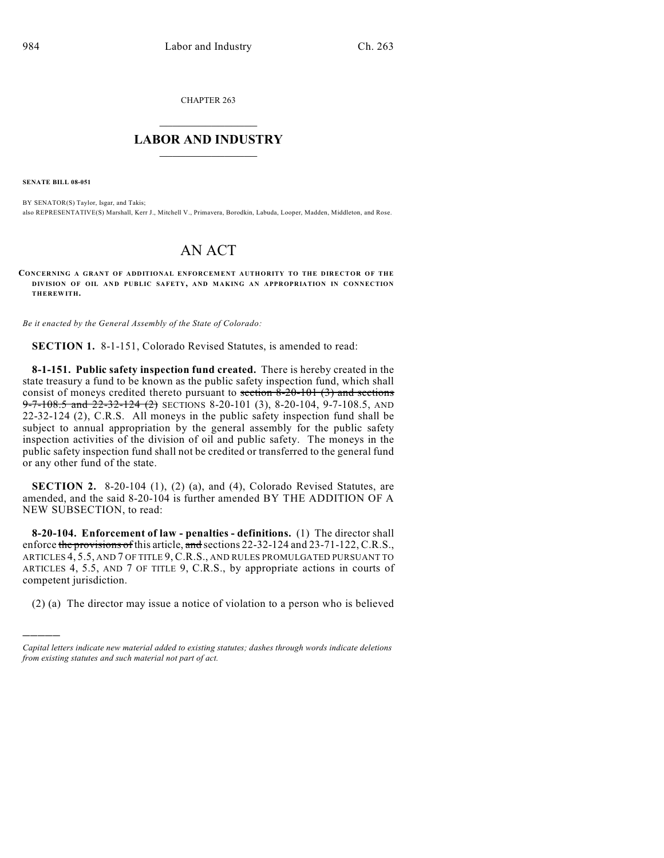CHAPTER 263

## $\mathcal{L}_\text{max}$  . The set of the set of the set of the set of the set of the set of the set of the set of the set of the set of the set of the set of the set of the set of the set of the set of the set of the set of the set **LABOR AND INDUSTRY**  $\frac{1}{\sqrt{2}}$  ,  $\frac{1}{\sqrt{2}}$  ,  $\frac{1}{\sqrt{2}}$  ,  $\frac{1}{\sqrt{2}}$  ,  $\frac{1}{\sqrt{2}}$  ,  $\frac{1}{\sqrt{2}}$

**SENATE BILL 08-051**

)))))

BY SENATOR(S) Taylor, Isgar, and Takis; also REPRESENTATIVE(S) Marshall, Kerr J., Mitchell V., Primavera, Borodkin, Labuda, Looper, Madden, Middleton, and Rose.

## AN ACT

**CONCERNING A GRANT OF ADDITIONAL ENFORCEMENT AUTHORITY TO THE DIRECTOR OF THE DIVISION OF OIL AND PUBLIC SAFETY, AND MAKING AN APPROPRIATION IN CONNECTION THEREWITH.**

*Be it enacted by the General Assembly of the State of Colorado:*

**SECTION 1.** 8-1-151, Colorado Revised Statutes, is amended to read:

**8-1-151. Public safety inspection fund created.** There is hereby created in the state treasury a fund to be known as the public safety inspection fund, which shall consist of moneys credited thereto pursuant to section  $8-20-101$  (3) and sections  $9 - 7 - 108.5$  and  $22 - 32 - 124$  (2) SECTIONS 8-20-101 (3), 8-20-104, 9-7-108.5, AND 22-32-124 (2), C.R.S. All moneys in the public safety inspection fund shall be subject to annual appropriation by the general assembly for the public safety inspection activities of the division of oil and public safety. The moneys in the public safety inspection fund shall not be credited or transferred to the general fund or any other fund of the state.

**SECTION 2.** 8-20-104 (1), (2) (a), and (4), Colorado Revised Statutes, are amended, and the said 8-20-104 is further amended BY THE ADDITION OF A NEW SUBSECTION, to read:

**8-20-104. Enforcement of law - penalties - definitions.** (1) The director shall enforce the provisions of this article, and sections 22-32-124 and 23-71-122, C.R.S., ARTICLES 4, 5.5, AND 7 OF TITLE 9, C.R.S., AND RULES PROMULGATED PURSUANT TO ARTICLES 4, 5.5, AND 7 OF TITLE 9, C.R.S., by appropriate actions in courts of competent jurisdiction.

(2) (a) The director may issue a notice of violation to a person who is believed

*Capital letters indicate new material added to existing statutes; dashes through words indicate deletions from existing statutes and such material not part of act.*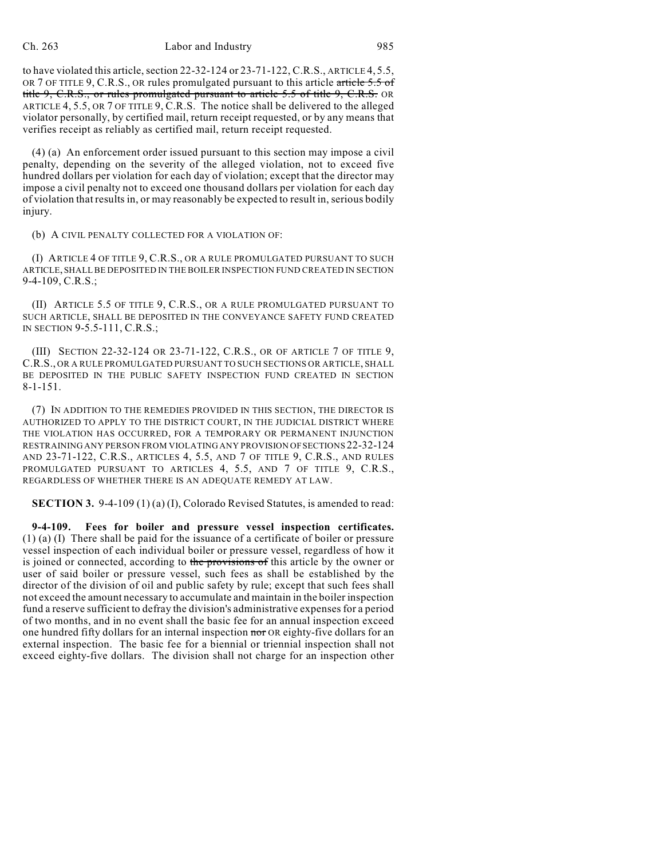to have violated this article, section 22-32-124 or 23-71-122, C.R.S., ARTICLE 4, 5.5, OR 7 OF TITLE 9, C.R.S., OR rules promulgated pursuant to this article article  $5.5$  of title 9, C.R.S., or rules promulgated pursuant to article 5.5 of title 9, C.R.S. OR ARTICLE 4, 5.5, OR 7 OF TITLE 9, C.R.S. The notice shall be delivered to the alleged violator personally, by certified mail, return receipt requested, or by any means that verifies receipt as reliably as certified mail, return receipt requested.

(4) (a) An enforcement order issued pursuant to this section may impose a civil penalty, depending on the severity of the alleged violation, not to exceed five hundred dollars per violation for each day of violation; except that the director may impose a civil penalty not to exceed one thousand dollars per violation for each day of violation that results in, or may reasonably be expected to result in, serious bodily injury.

(b) A CIVIL PENALTY COLLECTED FOR A VIOLATION OF:

(I) ARTICLE 4 OF TITLE 9, C.R.S., OR A RULE PROMULGATED PURSUANT TO SUCH ARTICLE, SHALL BE DEPOSITED IN THE BOILER INSPECTION FUND CREATED IN SECTION 9-4-109, C.R.S.;

(II) ARTICLE 5.5 OF TITLE 9, C.R.S., OR A RULE PROMULGATED PURSUANT TO SUCH ARTICLE, SHALL BE DEPOSITED IN THE CONVEYANCE SAFETY FUND CREATED IN SECTION 9-5.5-111, C.R.S.;

(III) SECTION 22-32-124 OR 23-71-122, C.R.S., OR OF ARTICLE 7 OF TITLE 9, C.R.S., OR A RULE PROMULGATED PURSUANT TO SUCH SECTIONS OR ARTICLE, SHALL BE DEPOSITED IN THE PUBLIC SAFETY INSPECTION FUND CREATED IN SECTION 8-1-151.

(7) IN ADDITION TO THE REMEDIES PROVIDED IN THIS SECTION, THE DIRECTOR IS AUTHORIZED TO APPLY TO THE DISTRICT COURT, IN THE JUDICIAL DISTRICT WHERE THE VIOLATION HAS OCCURRED, FOR A TEMPORARY OR PERMANENT INJUNCTION RESTRAINING ANY PERSON FROM VIOLATING ANY PROVISION OF SECTIONS 22-32-124 AND 23-71-122, C.R.S., ARTICLES 4, 5.5, AND 7 OF TITLE 9, C.R.S., AND RULES PROMULGATED PURSUANT TO ARTICLES 4, 5.5, AND 7 OF TITLE 9, C.R.S., REGARDLESS OF WHETHER THERE IS AN ADEQUATE REMEDY AT LAW.

**SECTION 3.** 9-4-109 (1) (a) (I), Colorado Revised Statutes, is amended to read:

**9-4-109. Fees for boiler and pressure vessel inspection certificates.** (1) (a) (I) There shall be paid for the issuance of a certificate of boiler or pressure vessel inspection of each individual boiler or pressure vessel, regardless of how it is joined or connected, according to the provisions of this article by the owner or user of said boiler or pressure vessel, such fees as shall be established by the director of the division of oil and public safety by rule; except that such fees shall not exceed the amount necessary to accumulate and maintain in the boiler inspection fund a reserve sufficient to defray the division's administrative expenses for a period of two months, and in no event shall the basic fee for an annual inspection exceed one hundred fifty dollars for an internal inspection nor OR eighty-five dollars for an external inspection. The basic fee for a biennial or triennial inspection shall not exceed eighty-five dollars. The division shall not charge for an inspection other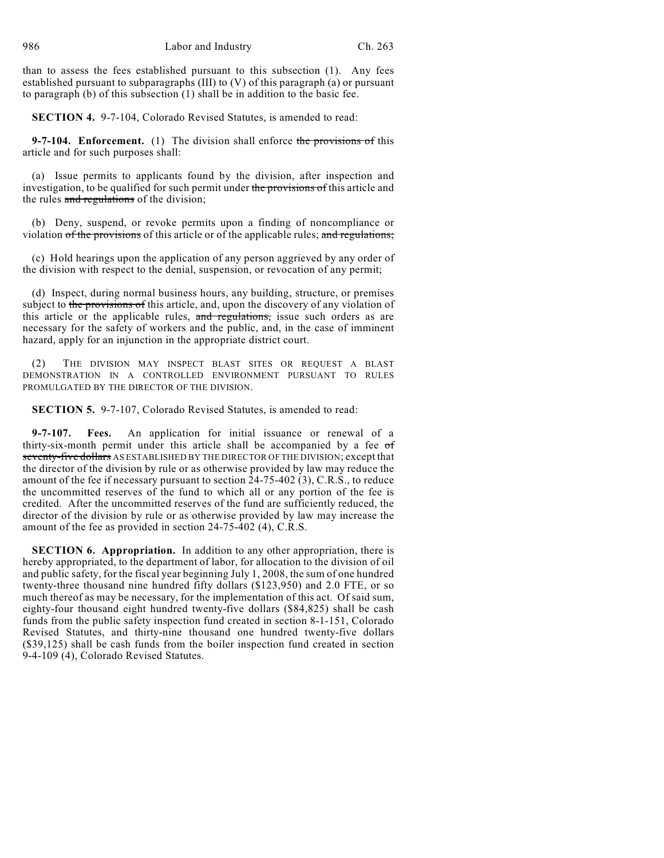than to assess the fees established pursuant to this subsection (1). Any fees established pursuant to subparagraphs (III) to (V) of this paragraph (a) or pursuant to paragraph (b) of this subsection (1) shall be in addition to the basic fee.

**SECTION 4.** 9-7-104, Colorado Revised Statutes, is amended to read:

**9-7-104. Enforcement.** (1) The division shall enforce the provisions of this article and for such purposes shall:

(a) Issue permits to applicants found by the division, after inspection and investigation, to be qualified for such permit under the provisions of this article and the rules and regulations of the division;

(b) Deny, suspend, or revoke permits upon a finding of noncompliance or violation of the provisions of this article or of the applicable rules; and regulations;

(c) Hold hearings upon the application of any person aggrieved by any order of the division with respect to the denial, suspension, or revocation of any permit;

(d) Inspect, during normal business hours, any building, structure, or premises subject to the provisions of this article, and, upon the discovery of any violation of this article or the applicable rules, and regulations, issue such orders as are necessary for the safety of workers and the public, and, in the case of imminent hazard, apply for an injunction in the appropriate district court.

(2) THE DIVISION MAY INSPECT BLAST SITES OR REQUEST A BLAST DEMONSTRATION IN A CONTROLLED ENVIRONMENT PURSUANT TO RULES PROMULGATED BY THE DIRECTOR OF THE DIVISION.

**SECTION 5.** 9-7-107, Colorado Revised Statutes, is amended to read:

**9-7-107. Fees.** An application for initial issuance or renewal of a thirty-six-month permit under this article shall be accompanied by a fee  $\sigma f$ seventy-five dollars AS ESTABLISHED BY THE DIRECTOR OF THE DIVISION; except that the director of the division by rule or as otherwise provided by law may reduce the amount of the fee if necessary pursuant to section 24-75-402 (3), C.R.S., to reduce the uncommitted reserves of the fund to which all or any portion of the fee is credited. After the uncommitted reserves of the fund are sufficiently reduced, the director of the division by rule or as otherwise provided by law may increase the amount of the fee as provided in section 24-75-402 (4), C.R.S.

**SECTION 6. Appropriation.** In addition to any other appropriation, there is hereby appropriated, to the department of labor, for allocation to the division of oil and public safety, for the fiscal year beginning July 1, 2008, the sum of one hundred twenty-three thousand nine hundred fifty dollars (\$123,950) and 2.0 FTE, or so much thereof as may be necessary, for the implementation of this act. Of said sum, eighty-four thousand eight hundred twenty-five dollars (\$84,825) shall be cash funds from the public safety inspection fund created in section 8-1-151, Colorado Revised Statutes, and thirty-nine thousand one hundred twenty-five dollars (\$39,125) shall be cash funds from the boiler inspection fund created in section 9-4-109 (4), Colorado Revised Statutes.